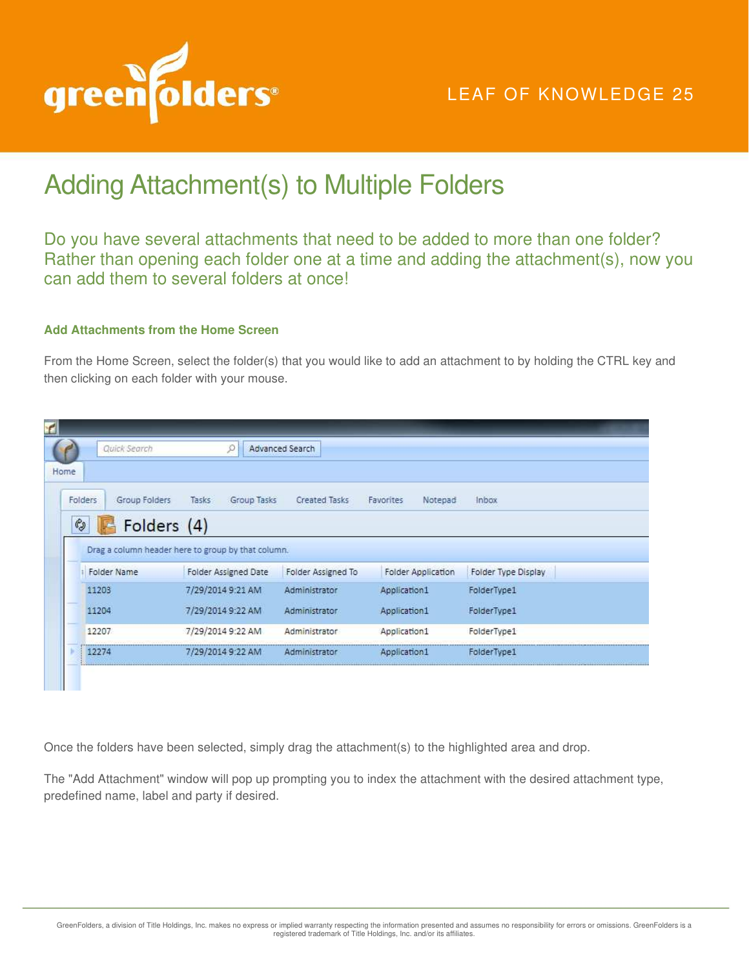

## LEAF OF KNOWLEDGE 25

## Adding Attachment(s) to Multiple Folders

Do you have several attachments that need to be added to more than one folder? Rather than opening each folder one at a time and adding the attachment(s), now you can add them to several folders at once!

## **Add Attachments from the Home Screen**

From the Home Screen, select the folder(s) that you would like to add an attachment to by holding the CTRL key and then clicking on each folder with your mouse.

| Home                            | Quick Search                                       |                             | O           | Advanced Search    |                                    |         |                            |  |
|---------------------------------|----------------------------------------------------|-----------------------------|-------------|--------------------|------------------------------------|---------|----------------------------|--|
| Folders                         | Group Folders                                      | Tasks                       | Group Tasks | Created Tasks      | Favorites                          | Notepad | <b>Inbox</b>               |  |
| $\mathcal{C}_{\!\!\mathcal{Q}}$ | Folders (4)                                        |                             |             |                    |                                    |         |                            |  |
|                                 | Drag a column header here to group by that column. |                             |             |                    |                                    |         |                            |  |
|                                 | Folder Name                                        | <b>Folder Assigned Date</b> |             | Folder Assigned To | Folder Application<br>Application1 |         | <b>Folder Type Display</b> |  |
| 11203                           |                                                    | 7/29/2014 9:21 AM           |             | Administrator      |                                    |         | FolderType1                |  |
| 11204                           |                                                    | 7/29/2014 9:22 AM           |             | Administrator      | Application1                       |         | FolderType1                |  |
|                                 |                                                    | 7/29/2014 9:22 AM           |             | Administrator      | Application1                       |         | FolderType1                |  |
| 12207                           |                                                    |                             |             |                    |                                    |         |                            |  |

Once the folders have been selected, simply drag the attachment(s) to the highlighted area and drop.

The "Add Attachment" window will pop up prompting you to index the attachment with the desired attachment type, predefined name, label and party if desired.